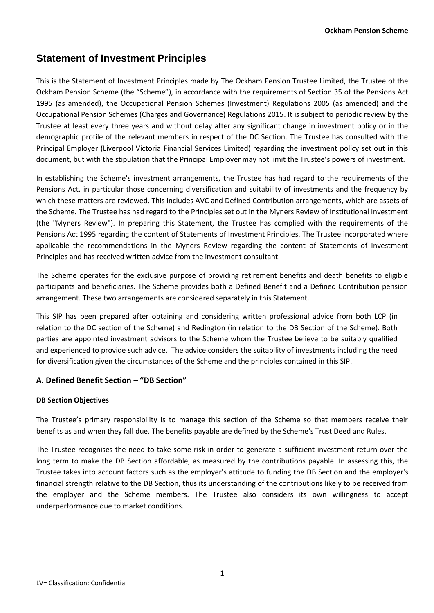# **Statement of Investment Principles**

This is the Statement of Investment Principles made by The Ockham Pension Trustee Limited, the Trustee of the Ockham Pension Scheme (the "Scheme"), in accordance with the requirements of Section 35 of the Pensions Act 1995 (as amended), the Occupational Pension Schemes (Investment) Regulations 2005 (as amended) and the Occupational Pension Schemes (Charges and Governance) Regulations 2015. It is subject to periodic review by the Trustee at least every three years and without delay after any significant change in investment policy or in the demographic profile of the relevant members in respect of the DC Section. The Trustee has consulted with the Principal Employer (Liverpool Victoria Financial Services Limited) regarding the investment policy set out in this document, but with the stipulation that the Principal Employer may not limit the Trustee's powers of investment.

In establishing the Scheme's investment arrangements, the Trustee has had regard to the requirements of the Pensions Act, in particular those concerning diversification and suitability of investments and the frequency by which these matters are reviewed. This includes AVC and Defined Contribution arrangements, which are assets of the Scheme. The Trustee has had regard to the Principles set out in the Myners Review of Institutional Investment (the "Myners Review"). In preparing this Statement, the Trustee has complied with the requirements of the Pensions Act 1995 regarding the content of Statements of Investment Principles. The Trustee incorporated where applicable the recommendations in the Myners Review regarding the content of Statements of Investment Principles and has received written advice from the investment consultant.

The Scheme operates for the exclusive purpose of providing retirement benefits and death benefits to eligible participants and beneficiaries. The Scheme provides both a Defined Benefit and a Defined Contribution pension arrangement. These two arrangements are considered separately in this Statement.

This SIP has been prepared after obtaining and considering written professional advice from both LCP (in relation to the DC section of the Scheme) and Redington (in relation to the DB Section of the Scheme). Both parties are appointed investment advisors to the Scheme whom the Trustee believe to be suitably qualified and experienced to provide such advice. The advice considers the suitability of investments including the need for diversification given the circumstances of the Scheme and the principles contained in this SIP.

# **A. Defined Benefit Section – "DB Section"**

# **DB Section Objectives**

The Trustee's primary responsibility is to manage this section of the Scheme so that members receive their benefits as and when they fall due. The benefits payable are defined by the Scheme's Trust Deed and Rules.

The Trustee recognises the need to take some risk in order to generate a sufficient investment return over the long term to make the DB Section affordable, as measured by the contributions payable. In assessing this, the Trustee takes into account factors such as the employer's attitude to funding the DB Section and the employer's financial strength relative to the DB Section, thus its understanding of the contributions likely to be received from the employer and the Scheme members. The Trustee also considers its own willingness to accept underperformance due to market conditions.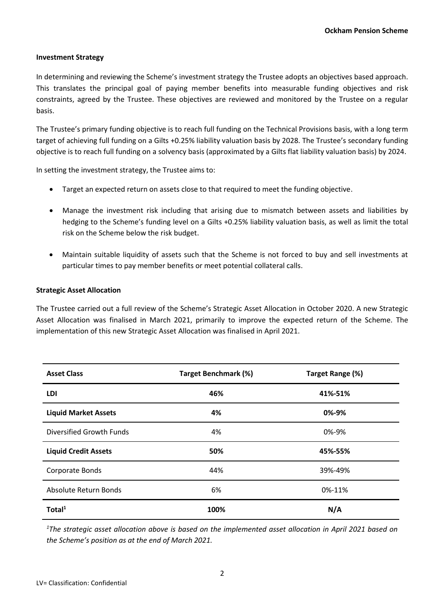## **Investment Strategy**

In determining and reviewing the Scheme's investment strategy the Trustee adopts an objectives based approach. This translates the principal goal of paying member benefits into measurable funding objectives and risk constraints, agreed by the Trustee. These objectives are reviewed and monitored by the Trustee on a regular basis.

The Trustee's primary funding objective is to reach full funding on the Technical Provisions basis, with a long term target of achieving full funding on a Gilts +0.25% liability valuation basis by 2028. The Trustee's secondary funding objective is to reach full funding on a solvency basis (approximated by a Gilts flat liability valuation basis) by 2024.

In setting the investment strategy, the Trustee aims to:

- Target an expected return on assets close to that required to meet the funding objective.
- Manage the investment risk including that arising due to mismatch between assets and liabilities by hedging to the Scheme's funding level on a Gilts +0.25% liability valuation basis, as well as limit the total risk on the Scheme below the risk budget.
- Maintain suitable liquidity of assets such that the Scheme is not forced to buy and sell investments at particular times to pay member benefits or meet potential collateral calls.

#### **Strategic Asset Allocation**

The Trustee carried out a full review of the Scheme's Strategic Asset Allocation in October 2020. A new Strategic Asset Allocation was finalised in March 2021, primarily to improve the expected return of the Scheme. The implementation of this new Strategic Asset Allocation was finalised in April 2021.

| <b>Asset Class</b>          | <b>Target Benchmark (%)</b> | Target Range (%) |  |
|-----------------------------|-----------------------------|------------------|--|
| LDI                         | 46%                         | 41%-51%          |  |
| <b>Liquid Market Assets</b> | 4%                          | 0%-9%            |  |
| Diversified Growth Funds    | 4%                          | 0%-9%            |  |
| <b>Liquid Credit Assets</b> | 50%                         | 45%-55%          |  |
| Corporate Bonds             | 44%                         | 39%-49%          |  |
| Absolute Return Bonds       | 6%                          | 0%-11%           |  |
| Total <sup>1</sup>          | 100%                        | N/A              |  |

*<sup>1</sup>The strategic asset allocation above is based on the implemented asset allocation in April 2021 based on the Scheme's position as at the end of March 2021.*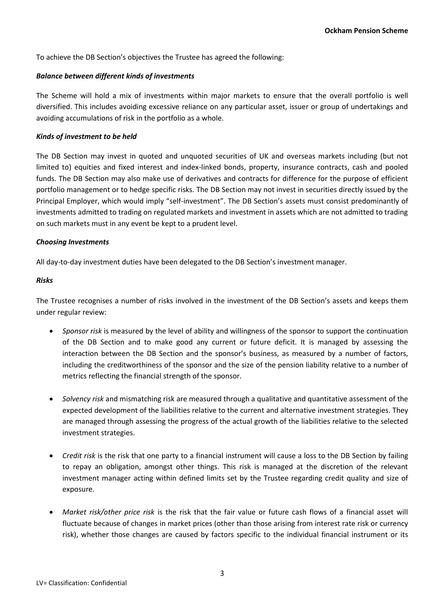To achieve the DB Section's objectives the Trustee has agreed the following:

## *Balance between different kinds of investments*

The Scheme will hold a mix of investments within major markets to ensure that the overall portfolio is well diversified. This includes avoiding excessive reliance on any particular asset, issuer or group of undertakings and avoiding accumulations of risk in the portfolio as a whole.

# *Kinds of investment to be held*

The DB Section may invest in quoted and unquoted securities of UK and overseas markets including (but not limited to) equities and fixed interest and index-linked bonds, property, insurance contracts, cash and pooled funds. The DB Section may also make use of derivatives and contracts for difference for the purpose of efficient portfolio management or to hedge specific risks. The DB Section may not invest in securities directly issued by the Principal Employer, which would imply "self-investment". The DB Section's assets must consist predominantly of investments admitted to trading on regulated markets and investment in assets which are not admitted to trading on such markets must in any event be kept to a prudent level.

## *Choosing Investments*

All day-to-day investment duties have been delegated to the DB Section's investment manager.

## *Risks*

The Trustee recognises a number of risks involved in the investment of the DB Section's assets and keeps them under regular review:

- *Sponsor risk* is measured by the level of ability and willingness of the sponsor to support the continuation of the DB Section and to make good any current or future deficit. It is managed by assessing the interaction between the DB Section and the sponsor's business, as measured by a number of factors, including the creditworthiness of the sponsor and the size of the pension liability relative to a number of metrics reflecting the financial strength of the sponsor.
- *Solvency risk* and mismatching risk are measured through a qualitative and quantitative assessment of the expected development of the liabilities relative to the current and alternative investment strategies. They are managed through assessing the progress of the actual growth of the liabilities relative to the selected investment strategies.
- *Credit risk* is the risk that one party to a financial instrument will cause a loss to the DB Section by failing to repay an obligation, amongst other things. This risk is managed at the discretion of the relevant investment manager acting within defined limits set by the Trustee regarding credit quality and size of exposure.
- *Market risk/other price risk* is the risk that the fair value or future cash flows of a financial asset will fluctuate because of changes in market prices (other than those arising from interest rate risk or currency risk), whether those changes are caused by factors specific to the individual financial instrument or its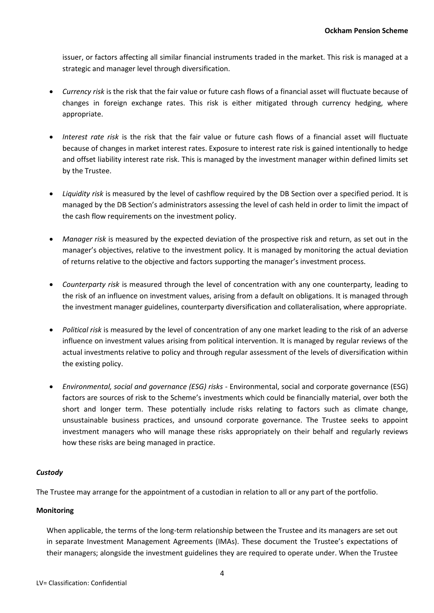issuer, or factors affecting all similar financial instruments traded in the market. This risk is managed at a strategic and manager level through diversification.

- *Currency risk* is the risk that the fair value or future cash flows of a financial asset will fluctuate because of changes in foreign exchange rates. This risk is either mitigated through currency hedging, where appropriate.
- *Interest rate risk* is the risk that the fair value or future cash flows of a financial asset will fluctuate because of changes in market interest rates. Exposure to interest rate risk is gained intentionally to hedge and offset liability interest rate risk. This is managed by the investment manager within defined limits set by the Trustee.
- *Liquidity risk* is measured by the level of cashflow required by the DB Section over a specified period. It is managed by the DB Section's administrators assessing the level of cash held in order to limit the impact of the cash flow requirements on the investment policy.
- *Manager risk* is measured by the expected deviation of the prospective risk and return, as set out in the manager's objectives, relative to the investment policy. It is managed by monitoring the actual deviation of returns relative to the objective and factors supporting the manager's investment process.
- *Counterparty risk* is measured through the level of concentration with any one counterparty, leading to the risk of an influence on investment values, arising from a default on obligations. It is managed through the investment manager guidelines, counterparty diversification and collateralisation, where appropriate.
- *Political risk* is measured by the level of concentration of any one market leading to the risk of an adverse influence on investment values arising from political intervention. It is managed by regular reviews of the actual investments relative to policy and through regular assessment of the levels of diversification within the existing policy.
- *Environmental, social and governance (ESG) risks*  Environmental, social and corporate governance (ESG) factors are sources of risk to the Scheme's investments which could be financially material, over both the short and longer term. These potentially include risks relating to factors such as climate change, unsustainable business practices, and unsound corporate governance. The Trustee seeks to appoint investment managers who will manage these risks appropriately on their behalf and regularly reviews how these risks are being managed in practice.

# *Custody*

The Trustee may arrange for the appointment of a custodian in relation to all or any part of the portfolio.

#### **Monitoring**

When applicable, the terms of the long-term relationship between the Trustee and its managers are set out in separate Investment Management Agreements (IMAs). These document the Trustee's expectations of their managers; alongside the investment guidelines they are required to operate under. When the Trustee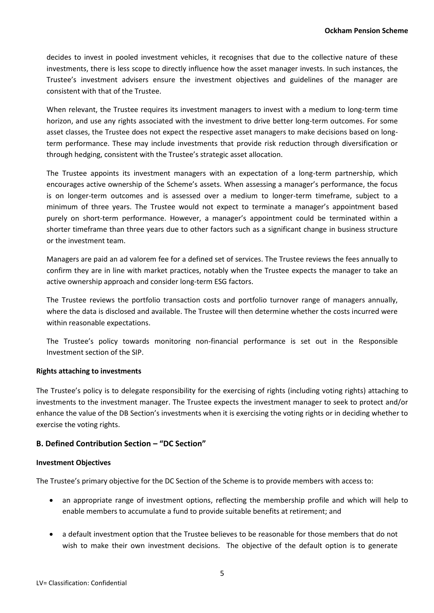decides to invest in pooled investment vehicles, it recognises that due to the collective nature of these investments, there is less scope to directly influence how the asset manager invests. In such instances, the Trustee's investment advisers ensure the investment objectives and guidelines of the manager are consistent with that of the Trustee.

When relevant, the Trustee requires its investment managers to invest with a medium to long-term time horizon, and use any rights associated with the investment to drive better long-term outcomes. For some asset classes, the Trustee does not expect the respective asset managers to make decisions based on longterm performance. These may include investments that provide risk reduction through diversification or through hedging, consistent with the Trustee's strategic asset allocation.

The Trustee appoints its investment managers with an expectation of a long-term partnership, which encourages active ownership of the Scheme's assets. When assessing a manager's performance, the focus is on longer-term outcomes and is assessed over a medium to longer-term timeframe, subject to a minimum of three years. The Trustee would not expect to terminate a manager's appointment based purely on short-term performance. However, a manager's appointment could be terminated within a shorter timeframe than three years due to other factors such as a significant change in business structure or the investment team.

Managers are paid an ad valorem fee for a defined set of services. The Trustee reviews the fees annually to confirm they are in line with market practices, notably when the Trustee expects the manager to take an active ownership approach and consider long-term ESG factors.

The Trustee reviews the portfolio transaction costs and portfolio turnover range of managers annually, where the data is disclosed and available. The Trustee will then determine whether the costs incurred were within reasonable expectations.

The Trustee's policy towards monitoring non-financial performance is set out in the Responsible Investment section of the SIP.

#### **Rights attaching to investments**

The Trustee's policy is to delegate responsibility for the exercising of rights (including voting rights) attaching to investments to the investment manager. The Trustee expects the investment manager to seek to protect and/or enhance the value of the DB Section's investments when it is exercising the voting rights or in deciding whether to exercise the voting rights.

# **B. Defined Contribution Section – "DC Section"**

#### **Investment Objectives**

The Trustee's primary objective for the DC Section of the Scheme is to provide members with access to:

- an appropriate range of investment options, reflecting the membership profile and which will help to enable members to accumulate a fund to provide suitable benefits at retirement; and
- a default investment option that the Trustee believes to be reasonable for those members that do not wish to make their own investment decisions. The objective of the default option is to generate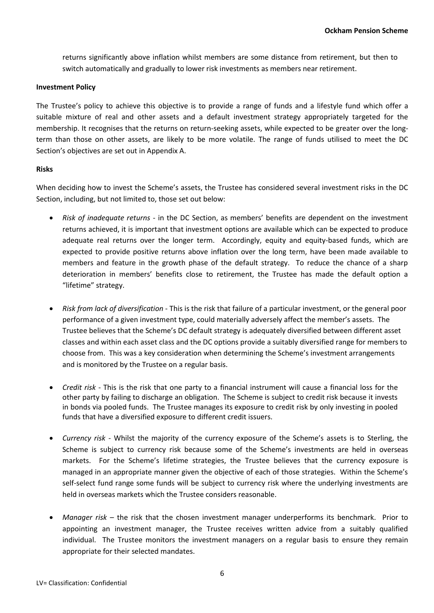returns significantly above inflation whilst members are some distance from retirement, but then to switch automatically and gradually to lower risk investments as members near retirement.

## **Investment Policy**

The Trustee's policy to achieve this objective is to provide a range of funds and a lifestyle fund which offer a suitable mixture of real and other assets and a default investment strategy appropriately targeted for the membership. It recognises that the returns on return-seeking assets, while expected to be greater over the longterm than those on other assets, are likely to be more volatile. The range of funds utilised to meet the DC Section's objectives are set out in Appendix A.

## **Risks**

When deciding how to invest the Scheme's assets, the Trustee has considered several investment risks in the DC Section, including, but not limited to, those set out below:

- *Risk of inadequate returns* in the DC Section, as members' benefits are dependent on the investment returns achieved, it is important that investment options are available which can be expected to produce adequate real returns over the longer term. Accordingly, equity and equity-based funds, which are expected to provide positive returns above inflation over the long term, have been made available to members and feature in the growth phase of the default strategy. To reduce the chance of a sharp deterioration in members' benefits close to retirement, the Trustee has made the default option a "lifetime" strategy.
- *Risk from lack of diversification* This is the risk that failure of a particular investment, or the general poor performance of a given investment type, could materially adversely affect the member's assets. The Trustee believes that the Scheme's DC default strategy is adequately diversified between different asset classes and within each asset class and the DC options provide a suitably diversified range for members to choose from. This was a key consideration when determining the Scheme's investment arrangements and is monitored by the Trustee on a regular basis.
- *Credit risk* This is the risk that one party to a financial instrument will cause a financial loss for the other party by failing to discharge an obligation. The Scheme is subject to credit risk because it invests in bonds via pooled funds. The Trustee manages its exposure to credit risk by only investing in pooled funds that have a diversified exposure to different credit issuers.
- *Currency risk -* Whilst the majority of the currency exposure of the Scheme's assets is to Sterling, the Scheme is subject to currency risk because some of the Scheme's investments are held in overseas markets. For the Scheme's lifetime strategies, the Trustee believes that the currency exposure is managed in an appropriate manner given the objective of each of those strategies. Within the Scheme's self-select fund range some funds will be subject to currency risk where the underlying investments are held in overseas markets which the Trustee considers reasonable.
- *Manager risk*  the risk that the chosen investment manager underperforms its benchmark. Prior to appointing an investment manager, the Trustee receives written advice from a suitably qualified individual. The Trustee monitors the investment managers on a regular basis to ensure they remain appropriate for their selected mandates.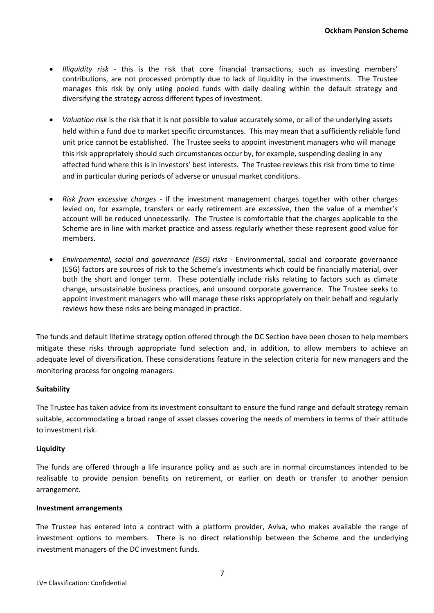- *Illiquidity risk* this is the risk that core financial transactions, such as investing members' contributions, are not processed promptly due to lack of liquidity in the investments. The Trustee manages this risk by only using pooled funds with daily dealing within the default strategy and diversifying the strategy across different types of investment.
- *Valuation risk* is the risk that it is not possible to value accurately some, or all of the underlying assets held within a fund due to market specific circumstances. This may mean that a sufficiently reliable fund unit price cannot be established. The Trustee seeks to appoint investment managers who will manage this risk appropriately should such circumstances occur by, for example, suspending dealing in any affected fund where this is in investors' best interests. The Trustee reviews this risk from time to time and in particular during periods of adverse or unusual market conditions.
- *Risk from excessive charges* If the investment management charges together with other charges levied on, for example, transfers or early retirement are excessive, then the value of a member's account will be reduced unnecessarily. The Trustee is comfortable that the charges applicable to the Scheme are in line with market practice and assess regularly whether these represent good value for members.
- *Environmental, social and governance (ESG) risks*  Environmental, social and corporate governance (ESG) factors are sources of risk to the Scheme's investments which could be financially material, over both the short and longer term. These potentially include risks relating to factors such as climate change, unsustainable business practices, and unsound corporate governance. The Trustee seeks to appoint investment managers who will manage these risks appropriately on their behalf and regularly reviews how these risks are being managed in practice.

The funds and default lifetime strategy option offered through the DC Section have been chosen to help members mitigate these risks through appropriate fund selection and, in addition, to allow members to achieve an adequate level of diversification. These considerations feature in the selection criteria for new managers and the monitoring process for ongoing managers.

# **Suitability**

The Trustee has taken advice from its investment consultant to ensure the fund range and default strategy remain suitable, accommodating a broad range of asset classes covering the needs of members in terms of their attitude to investment risk.

#### **Liquidity**

The funds are offered through a life insurance policy and as such are in normal circumstances intended to be realisable to provide pension benefits on retirement, or earlier on death or transfer to another pension arrangement.

#### **Investment arrangements**

The Trustee has entered into a contract with a platform provider, Aviva, who makes available the range of investment options to members. There is no direct relationship between the Scheme and the underlying investment managers of the DC investment funds.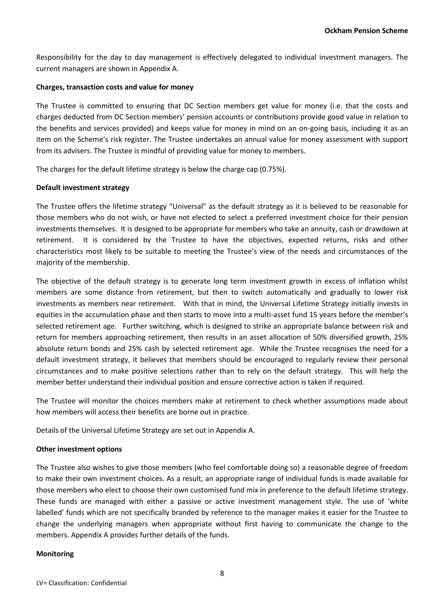Responsibility for the day to day management is effectively delegated to individual investment managers. The current managers are shown in Appendix A.

## **Charges, transaction costs and value for money**

The Trustee is committed to ensuring that DC Section members get value for money (i.e. that the costs and charges deducted from DC Section members' pension accounts or contributions provide good value in relation to the benefits and services provided) and keeps value for money in mind on an on-going basis, including it as an item on the Scheme's risk register. The Trustee undertakes an annual value for money assessment with support from its advisers. The Trustee is mindful of providing value for money to members.

The charges for the default lifetime strategy is below the charge cap (0.75%).

## **Default investment strategy**

The Trustee offers the lifetime strategy "Universal" as the default strategy as it is believed to be reasonable for those members who do not wish, or have not elected to select a preferred investment choice for their pension investments themselves. It is designed to be appropriate for members who take an annuity, cash or drawdown at retirement. It is considered by the Trustee to have the objectives, expected returns, risks and other characteristics most likely to be suitable to meeting the Trustee's view of the needs and circumstances of the majority of the membership.

The objective of the default strategy is to generate long term investment growth in excess of inflation whilst members are some distance from retirement, but then to switch automatically and gradually to lower risk investments as members near retirement. With that in mind, the Universal Lifetime Strategy initially invests in equities in the accumulation phase and then starts to move into a multi-asset fund 15 years before the member's selected retirement age. Further switching, which is designed to strike an appropriate balance between risk and return for members approaching retirement, then results in an asset allocation of 50% diversified growth, 25% absolute return bonds and 25% cash by selected retirement age. While the Trustee recognises the need for a default investment strategy, it believes that members should be encouraged to regularly review their personal circumstances and to make positive selections rather than to rely on the default strategy. This will help the member better understand their individual position and ensure corrective action is taken if required.

The Trustee will monitor the choices members make at retirement to check whether assumptions made about how members will access their benefits are borne out in practice.

Details of the Universal Lifetime Strategy are set out in Appendix A.

#### **Other investment options**

The Trustee also wishes to give those members (who feel comfortable doing so) a reasonable degree of freedom to make their own investment choices. As a result, an appropriate range of individual funds is made available for those members who elect to choose their own customised fund mix in preference to the default lifetime strategy. These funds are managed with either a passive or active investment management style. The use of 'white labelled' funds which are not specifically branded by reference to the manager makes it easier for the Trustee to change the underlying managers when appropriate without first having to communicate the change to the members. Appendix A provides further details of the funds.

#### **Monitoring**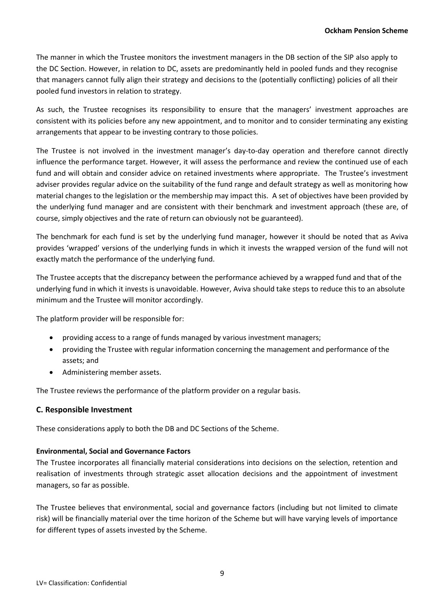The manner in which the Trustee monitors the investment managers in the DB section of the SIP also apply to the DC Section. However, in relation to DC, assets are predominantly held in pooled funds and they recognise that managers cannot fully align their strategy and decisions to the (potentially conflicting) policies of all their pooled fund investors in relation to strategy.

As such, the Trustee recognises its responsibility to ensure that the managers' investment approaches are consistent with its policies before any new appointment, and to monitor and to consider terminating any existing arrangements that appear to be investing contrary to those policies.

The Trustee is not involved in the investment manager's day-to-day operation and therefore cannot directly influence the performance target. However, it will assess the performance and review the continued use of each fund and will obtain and consider advice on retained investments where appropriate. The Trustee's investment adviser provides regular advice on the suitability of the fund range and default strategy as well as monitoring how material changes to the legislation or the membership may impact this. A set of objectives have been provided by the underlying fund manager and are consistent with their benchmark and investment approach (these are, of course, simply objectives and the rate of return can obviously not be guaranteed).

The benchmark for each fund is set by the underlying fund manager, however it should be noted that as Aviva provides 'wrapped' versions of the underlying funds in which it invests the wrapped version of the fund will not exactly match the performance of the underlying fund.

The Trustee accepts that the discrepancy between the performance achieved by a wrapped fund and that of the underlying fund in which it invests is unavoidable. However, Aviva should take steps to reduce this to an absolute minimum and the Trustee will monitor accordingly.

The platform provider will be responsible for:

- providing access to a range of funds managed by various investment managers;
- providing the Trustee with regular information concerning the management and performance of the assets; and
- Administering member assets.

The Trustee reviews the performance of the platform provider on a regular basis.

# **C. Responsible Investment**

These considerations apply to both the DB and DC Sections of the Scheme.

#### **Environmental, Social and Governance Factors**

The Trustee incorporates all financially material considerations into decisions on the selection, retention and realisation of investments through strategic asset allocation decisions and the appointment of investment managers, so far as possible.

The Trustee believes that environmental, social and governance factors (including but not limited to climate risk) will be financially material over the time horizon of the Scheme but will have varying levels of importance for different types of assets invested by the Scheme.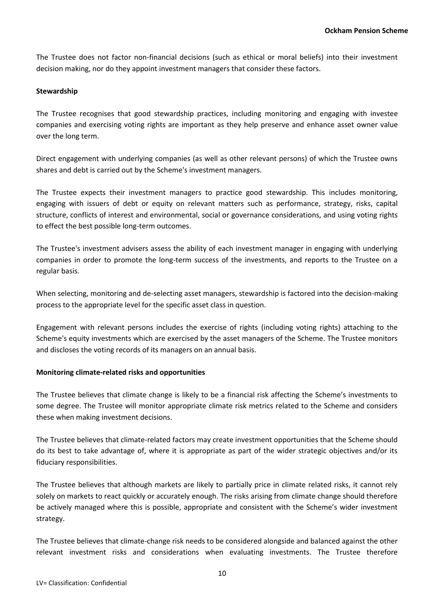The Trustee does not factor non-financial decisions (such as ethical or moral beliefs) into their investment decision making, nor do they appoint investment managers that consider these factors.

# **Stewardship**

The Trustee recognises that good stewardship practices, including monitoring and engaging with investee companies and exercising voting rights are important as they help preserve and enhance asset owner value over the long term.

Direct engagement with underlying companies (as well as other relevant persons) of which the Trustee owns shares and debt is carried out by the Scheme's investment managers.

The Trustee expects their investment managers to practice good stewardship. This includes monitoring, engaging with issuers of debt or equity on relevant matters such as performance, strategy, risks, capital structure, conflicts of interest and environmental, social or governance considerations, and using voting rights to effect the best possible long-term outcomes.

The Trustee's investment advisers assess the ability of each investment manager in engaging with underlying companies in order to promote the long-term success of the investments, and reports to the Trustee on a regular basis.

When selecting, monitoring and de-selecting asset managers, stewardship is factored into the decision-making process to the appropriate level for the specific asset class in question.

Engagement with relevant persons includes the exercise of rights (including voting rights) attaching to the Scheme's equity investments which are exercised by the asset managers of the Scheme. The Trustee monitors and discloses the voting records of its managers on an annual basis.

# **Monitoring climate-related risks and opportunities**

The Trustee believes that climate change is likely to be a financial risk affecting the Scheme's investments to some degree. The Trustee will monitor appropriate climate risk metrics related to the Scheme and considers these when making investment decisions.

The Trustee believes that climate-related factors may create investment opportunities that the Scheme should do its best to take advantage of, where it is appropriate as part of the wider strategic objectives and/or its fiduciary responsibilities.

The Trustee believes that although markets are likely to partially price in climate related risks, it cannot rely solely on markets to react quickly or accurately enough. The risks arising from climate change should therefore be actively managed where this is possible, appropriate and consistent with the Scheme's wider investment strategy.

The Trustee believes that climate-change risk needs to be considered alongside and balanced against the other relevant investment risks and considerations when evaluating investments. The Trustee therefore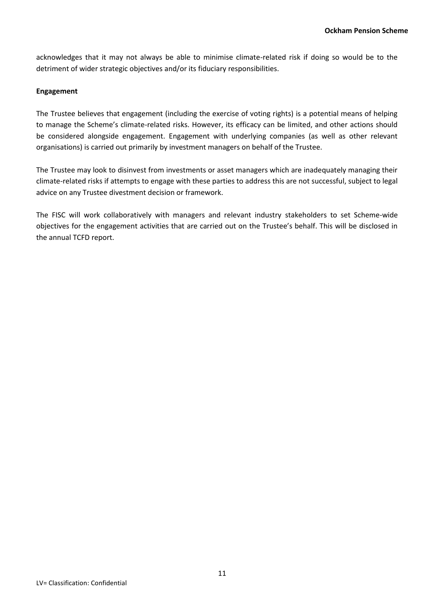acknowledges that it may not always be able to minimise climate-related risk if doing so would be to the detriment of wider strategic objectives and/or its fiduciary responsibilities.

# **Engagement**

The Trustee believes that engagement (including the exercise of voting rights) is a potential means of helping to manage the Scheme's climate-related risks. However, its efficacy can be limited, and other actions should be considered alongside engagement. Engagement with underlying companies (as well as other relevant organisations) is carried out primarily by investment managers on behalf of the Trustee.

The Trustee may look to disinvest from investments or asset managers which are inadequately managing their climate-related risks if attempts to engage with these parties to address this are not successful, subject to legal advice on any Trustee divestment decision or framework.

The FISC will work collaboratively with managers and relevant industry stakeholders to set Scheme-wide objectives for the engagement activities that are carried out on the Trustee's behalf. This will be disclosed in the annual TCFD report.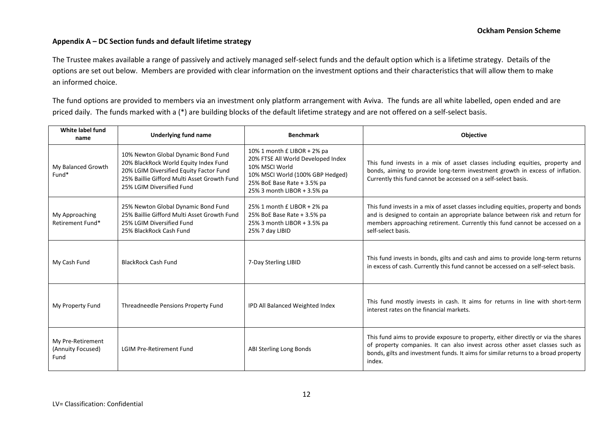## **Appendix A – DC Section funds and default lifetime strategy**

The Trustee makes available a range of passively and actively managed self-select funds and the default option which is a lifetime strategy. Details of the options are set out below. Members are provided with clear information on the investment options and their characteristics that will allow them to make an informed choice.

The fund options are provided to members via an investment only platform arrangement with Aviva. The funds are all white labelled, open ended and are priced daily. The funds marked with a (\*) are building blocks of the default lifetime strategy and are not offered on a self-select basis.

| White label fund<br>name                       | <b>Underlying fund name</b>                                                                                                                                                                         | <b>Benchmark</b>                                                                                                                                                                      | <b>Objective</b>                                                                                                                                                                                                                                                         |  |
|------------------------------------------------|-----------------------------------------------------------------------------------------------------------------------------------------------------------------------------------------------------|---------------------------------------------------------------------------------------------------------------------------------------------------------------------------------------|--------------------------------------------------------------------------------------------------------------------------------------------------------------------------------------------------------------------------------------------------------------------------|--|
| My Balanced Growth<br>Fund*                    | 10% Newton Global Dynamic Bond Fund<br>20% BlackRock World Equity Index Fund<br>20% LGIM Diversified Equity Factor Fund<br>25% Baillie Gifford Multi Asset Growth Fund<br>25% LGIM Diversified Fund | 10% 1 month £ LIBOR + 2% pa<br>20% FTSE All World Developed Index<br>10% MSCI World<br>10% MSCI World (100% GBP Hedged)<br>25% BoE Base Rate + 3.5% pa<br>25% 3 month LIBOR + 3.5% pa | This fund invests in a mix of asset classes including equities, property and<br>bonds, aiming to provide long-term investment growth in excess of inflation.<br>Currently this fund cannot be accessed on a self-select basis.                                           |  |
| My Approaching<br>Retirement Fund*             | 25% Newton Global Dynamic Bond Fund<br>25% Baillie Gifford Multi Asset Growth Fund<br>25% LGIM Diversified Fund<br>25% BlackRock Cash Fund                                                          | 25% 1 month £ LIBOR + 2% pa<br>25% BoE Base Rate + 3.5% pa<br>25% 3 month LIBOR + 3.5% pa<br>25% 7 day LIBID                                                                          | This fund invests in a mix of asset classes including equities, property and bonds<br>and is designed to contain an appropriate balance between risk and return for<br>members approaching retirement. Currently this fund cannot be accessed on a<br>self-select basis. |  |
| My Cash Fund                                   | <b>BlackRock Cash Fund</b>                                                                                                                                                                          | 7-Day Sterling LIBID                                                                                                                                                                  | This fund invests in bonds, gilts and cash and aims to provide long-term returns<br>in excess of cash. Currently this fund cannot be accessed on a self-select basis.                                                                                                    |  |
| My Property Fund                               | Threadneedle Pensions Property Fund                                                                                                                                                                 | IPD All Balanced Weighted Index                                                                                                                                                       | This fund mostly invests in cash. It aims for returns in line with short-term<br>interest rates on the financial markets.                                                                                                                                                |  |
| My Pre-Retirement<br>(Annuity Focused)<br>Fund | <b>LGIM Pre-Retirement Fund</b>                                                                                                                                                                     | ABI Sterling Long Bonds                                                                                                                                                               | This fund aims to provide exposure to property, either directly or via the shares<br>of property companies. It can also invest across other asset classes such as<br>bonds, gilts and investment funds. It aims for similar returns to a broad property<br>index.        |  |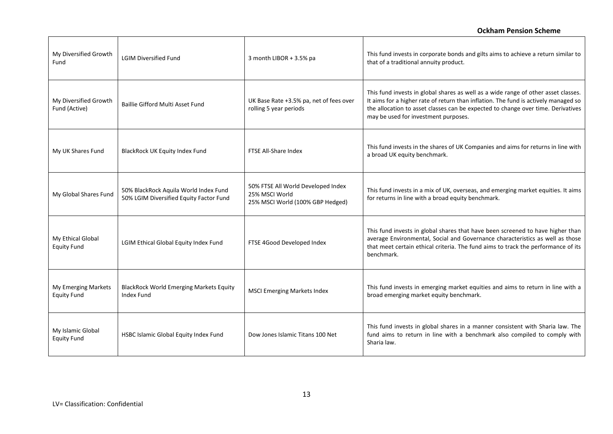| My Diversified Growth<br>Fund             | <b>LGIM Diversified Fund</b>                                                     | 3 month LIBOR + 3.5% pa                                                                  | This fund invests in corporate bonds and gilts aims to achieve a return similar to<br>that of a traditional annuity product.                                                                                                                                                                          |
|-------------------------------------------|----------------------------------------------------------------------------------|------------------------------------------------------------------------------------------|-------------------------------------------------------------------------------------------------------------------------------------------------------------------------------------------------------------------------------------------------------------------------------------------------------|
| My Diversified Growth<br>Fund (Active)    | Baillie Gifford Multi Asset Fund                                                 | UK Base Rate +3.5% pa, net of fees over<br>rolling 5 year periods                        | This fund invests in global shares as well as a wide range of other asset classes.<br>It aims for a higher rate of return than inflation. The fund is actively managed so<br>the allocation to asset classes can be expected to change over time. Derivatives<br>may be used for investment purposes. |
| My UK Shares Fund                         | BlackRock UK Equity Index Fund                                                   | FTSE All-Share Index                                                                     | This fund invests in the shares of UK Companies and aims for returns in line with<br>a broad UK equity benchmark.                                                                                                                                                                                     |
| My Global Shares Fund                     | 50% BlackRock Aquila World Index Fund<br>50% LGIM Diversified Equity Factor Fund | 50% FTSE All World Developed Index<br>25% MSCI World<br>25% MSCI World (100% GBP Hedged) | This fund invests in a mix of UK, overseas, and emerging market equities. It aims<br>for returns in line with a broad equity benchmark.                                                                                                                                                               |
| My Ethical Global<br><b>Equity Fund</b>   | LGIM Ethical Global Equity Index Fund                                            | FTSE 4Good Developed Index                                                               | This fund invests in global shares that have been screened to have higher than<br>average Environmental, Social and Governance characteristics as well as those<br>that meet certain ethical criteria. The fund aims to track the performance of its<br>benchmark.                                    |
| My Emerging Markets<br><b>Equity Fund</b> | <b>BlackRock World Emerging Markets Equity</b><br><b>Index Fund</b>              | <b>MSCI Emerging Markets Index</b>                                                       | This fund invests in emerging market equities and aims to return in line with a<br>broad emerging market equity benchmark.                                                                                                                                                                            |
| My Islamic Global<br><b>Equity Fund</b>   | HSBC Islamic Global Equity Index Fund                                            | Dow Jones Islamic Titans 100 Net                                                         | This fund invests in global shares in a manner consistent with Sharia law. The<br>fund aims to return in line with a benchmark also compiled to comply with<br>Sharia law.                                                                                                                            |